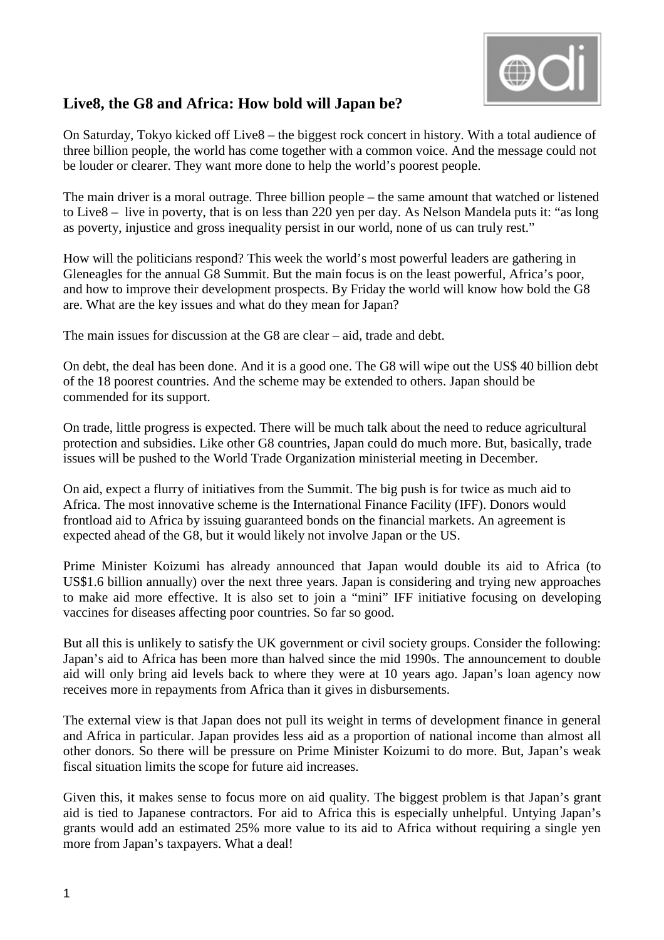

## **Live8, the G8 and Africa: How bold will Japan be?**

On Saturday, Tokyo kicked off Live8 – the biggest rock concert in history. With a total audience of three billion people, the world has come together with a common voice. And the message could not be louder or clearer. They want more done to help the world's poorest people.

The main driver is a moral outrage. Three billion people – the same amount that watched or listened to Live8 – live in poverty, that is on less than 220 yen per day. As Nelson Mandela puts it: "as long as poverty, injustice and gross inequality persist in our world, none of us can truly rest."

How will the politicians respond? This week the world's most powerful leaders are gathering in Gleneagles for the annual G8 Summit. But the main focus is on the least powerful, Africa's poor, and how to improve their development prospects. By Friday the world will know how bold the G8 are. What are the key issues and what do they mean for Japan?

The main issues for discussion at the G8 are clear – aid, trade and debt.

On debt, the deal has been done. And it is a good one. The G8 will wipe out the US\$ 40 billion debt of the 18 poorest countries. And the scheme may be extended to others. Japan should be commended for its support.

On trade, little progress is expected. There will be much talk about the need to reduce agricultural protection and subsidies. Like other G8 countries, Japan could do much more. But, basically, trade issues will be pushed to the World Trade Organization ministerial meeting in December.

On aid, expect a flurry of initiatives from the Summit. The big push is for twice as much aid to Africa. The most innovative scheme is the International Finance Facility (IFF). Donors would frontload aid to Africa by issuing guaranteed bonds on the financial markets. An agreement is expected ahead of the G8, but it would likely not involve Japan or the US.

Prime Minister Koizumi has already announced that Japan would double its aid to Africa (to US\$1.6 billion annually) over the next three years. Japan is considering and trying new approaches to make aid more effective. It is also set to join a "mini" IFF initiative focusing on developing vaccines for diseases affecting poor countries. So far so good.

But all this is unlikely to satisfy the UK government or civil society groups. Consider the following: Japan's aid to Africa has been more than halved since the mid 1990s. The announcement to double aid will only bring aid levels back to where they were at 10 years ago. Japan's loan agency now receives more in repayments from Africa than it gives in disbursements.

The external view is that Japan does not pull its weight in terms of development finance in general and Africa in particular. Japan provides less aid as a proportion of national income than almost all other donors. So there will be pressure on Prime Minister Koizumi to do more. But, Japan's weak fiscal situation limits the scope for future aid increases.

Given this, it makes sense to focus more on aid quality. The biggest problem is that Japan's grant aid is tied to Japanese contractors. For aid to Africa this is especially unhelpful. Untying Japan's grants would add an estimated 25% more value to its aid to Africa without requiring a single yen more from Japan's taxpayers. What a deal!